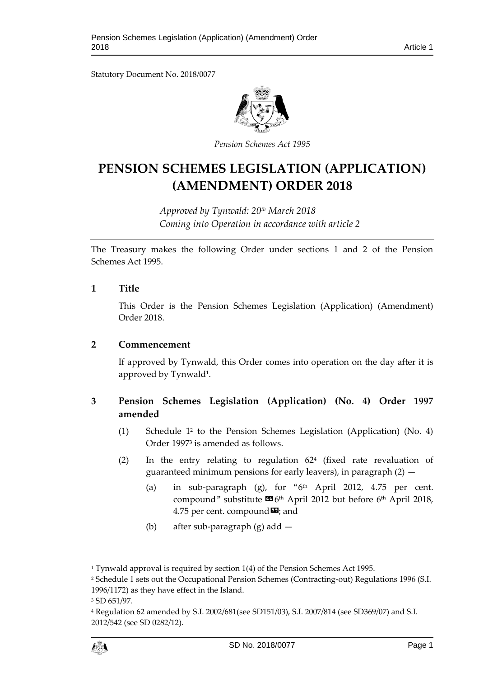Statutory Document No. 2018/0077



*Pension Schemes Act 1995*

# **PENSION SCHEMES LEGISLATION (APPLICATION) (AMENDMENT) ORDER 2018**

*Approved by Tynwald: 20th March 2018 Coming into Operation in accordance with article 2*

The Treasury makes the following Order under sections 1 and 2 of the Pension Schemes Act 1995.

#### **1 Title**

This Order is the Pension Schemes Legislation (Application) (Amendment) Order 2018.

#### **2 Commencement**

If approved by Tynwald, this Order comes into operation on the day after it is approved by Tynwald<sup>1</sup>.

# **3 Pension Schemes Legislation (Application) (No. 4) Order 1997 amended**

- (1) Schedule 1<sup>2</sup> to the Pension Schemes Legislation (Application) (No. 4) Order 1997<sup>3</sup> is amended as follows.
- (2) In the entry relating to regulation 62<sup>4</sup> (fixed rate revaluation of guaranteed minimum pensions for early leavers), in paragraph (2) —
	- (a) in sub-paragraph (g), for " $6<sup>th</sup>$  April 2012, 4.75 per cent. compound" substitute  $\mathbf{G}$ 6<sup>th</sup> April 2012 but before 6<sup>th</sup> April 2018, 4.75 per cent. compound  $\boldsymbol{\mathsf{\Xi}}$ ; and
	- (b) after sub-paragraph (g) add —

 $\overline{a}$ 

<sup>&</sup>lt;sup>1</sup> Tynwald approval is required by section 1(4) of the Pension Schemes Act 1995.

<sup>2</sup> Schedule 1 sets out the Occupational Pension Schemes (Contracting-out) Regulations 1996 (S.I.

<sup>1996/1172)</sup> as they have effect in the Island.

<sup>3</sup> SD 651/97.

<sup>4</sup> Regulation 62 amended by S.I. 2002/681(see SD151/03), S.I. 2007/814 (see SD369/07) and S.I. 2012/542 (see SD 0282/12).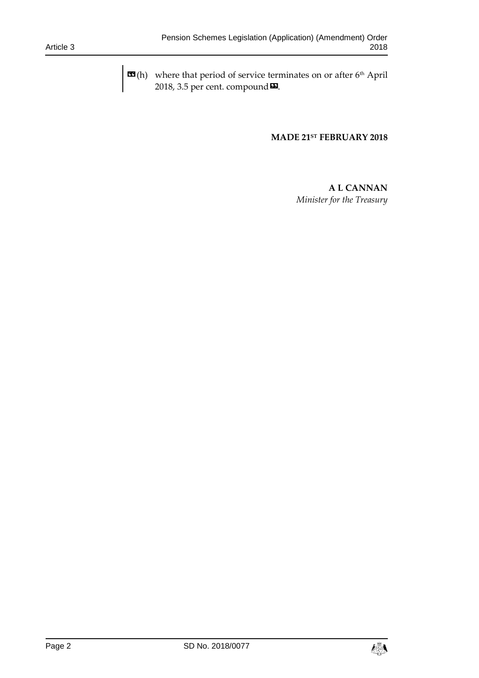$\mathbf{H}(h)$  where that period of service terminates on or after 6<sup>th</sup> April 2018, 3.5 per cent. compound **¤**.

#### **MADE 21ST FEBRUARY 2018**

## **A L CANNAN**  *Minister for the Treasury*